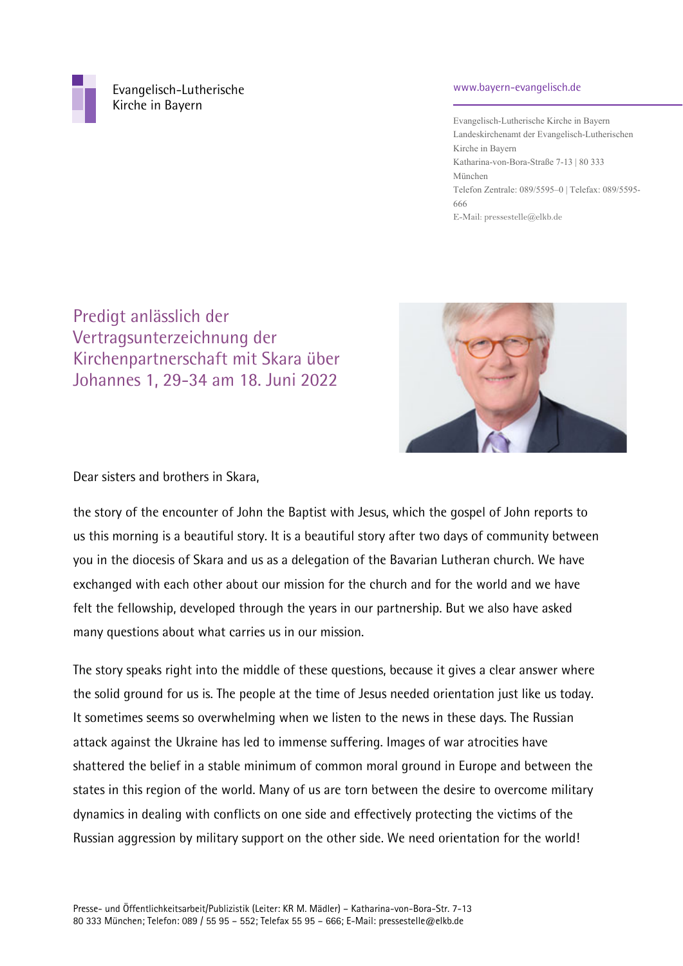

 Evangelisch-Lutherische Kirche in Bayern

## www.bayern-evangelisch.de

Evangelisch-Lutherische Kirche in Bayern Landeskirchenamt der Evangelisch-Lutherischen Kirche in Bayern Katharina-von-Bora-Straße 7-13 | 80 333 München Telefon Zentrale: 089/5595–0 | Telefax: 089/5595- 666 E-Mail: pressestelle@elkb.de

Predigt anlässlich der Vertragsunterzeichnung der Kirchenpartnerschaft mit Skara über Johannes 1, 29-34 am 18. Juni 2022



Dear sisters and brothers in Skara,

the story of the encounter of John the Baptist with Jesus, which the gospel of John reports to us this morning is a beautiful story. It is a beautiful story after two days of community between you in the diocesis of Skara and us as a delegation of the Bavarian Lutheran church. We have exchanged with each other about our mission for the church and for the world and we have felt the fellowship, developed through the years in our partnership. But we also have asked many questions about what carries us in our mission.

The story speaks right into the middle of these questions, because it gives a clear answer where the solid ground for us is. The people at the time of Jesus needed orientation just like us today. It sometimes seems so overwhelming when we listen to the news in these days. The Russian attack against the Ukraine has led to immense suffering. Images of war atrocities have shattered the belief in a stable minimum of common moral ground in Europe and between the states in this region of the world. Many of us are torn between the desire to overcome military dynamics in dealing with conflicts on one side and effectively protecting the victims of the Russian aggression by military support on the other side. We need orientation for the world!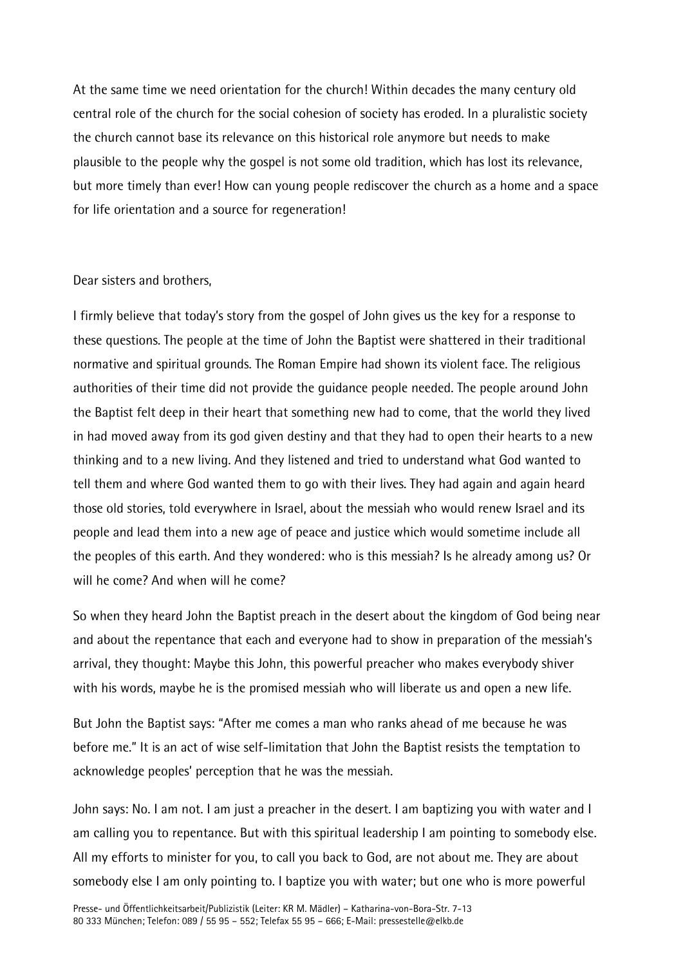At the same time we need orientation for the church! Within decades the many century old central role of the church for the social cohesion of society has eroded. In a pluralistic society the church cannot base its relevance on this historical role anymore but needs to make plausible to the people why the gospel is not some old tradition, which has lost its relevance, but more timely than ever! How can young people rediscover the church as a home and a space for life orientation and a source for regeneration!

## Dear sisters and brothers,

I firmly believe that today's story from the gospel of John gives us the key for a response to these questions. The people at the time of John the Baptist were shattered in their traditional normative and spiritual grounds. The Roman Empire had shown its violent face. The religious authorities of their time did not provide the guidance people needed. The people around John the Baptist felt deep in their heart that something new had to come, that the world they lived in had moved away from its god given destiny and that they had to open their hearts to a new thinking and to a new living. And they listened and tried to understand what God wanted to tell them and where God wanted them to go with their lives. They had again and again heard those old stories, told everywhere in Israel, about the messiah who would renew Israel and its people and lead them into a new age of peace and justice which would sometime include all the peoples of this earth. And they wondered: who is this messiah? Is he already among us? Or will he come? And when will he come?

So when they heard John the Baptist preach in the desert about the kingdom of God being near and about the repentance that each and everyone had to show in preparation of the messiah's arrival, they thought: Maybe this John, this powerful preacher who makes everybody shiver with his words, maybe he is the promised messiah who will liberate us and open a new life.

But John the Baptist says: "After me comes a man who ranks ahead of me because he was before me." It is an act of wise self-limitation that John the Baptist resists the temptation to acknowledge peoples' perception that he was the messiah.

John says: No. I am not. I am just a preacher in the desert. I am baptizing you with water and I am calling you to repentance. But with this spiritual leadership I am pointing to somebody else. All my efforts to minister for you, to call you back to God, are not about me. They are about somebody else I am only pointing to. I baptize you with water; but one who is more powerful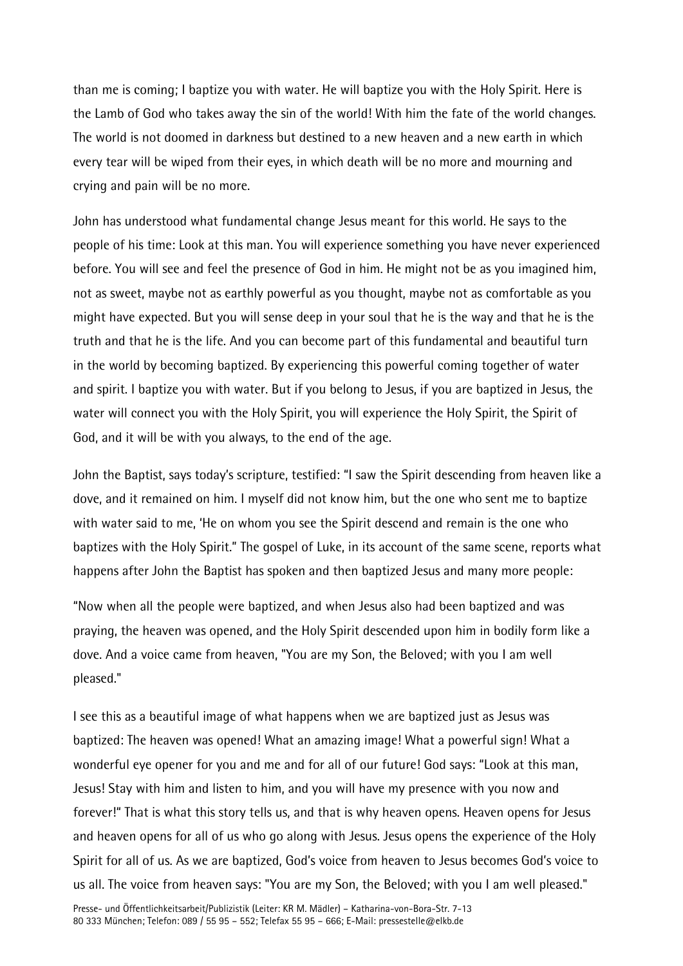than me is coming; I baptize you with water. He will baptize you with the Holy Spirit. Here is the Lamb of God who takes away the sin of the world! With him the fate of the world changes. The world is not doomed in darkness but destined to a new heaven and a new earth in which every tear will be wiped from their eyes, in which death will be no more and mourning and crying and pain will be no more.

John has understood what fundamental change Jesus meant for this world. He says to the people of his time: Look at this man. You will experience something you have never experienced before. You will see and feel the presence of God in him. He might not be as you imagined him, not as sweet, maybe not as earthly powerful as you thought, maybe not as comfortable as you might have expected. But you will sense deep in your soul that he is the way and that he is the truth and that he is the life. And you can become part of this fundamental and beautiful turn in the world by becoming baptized. By experiencing this powerful coming together of water and spirit. I baptize you with water. But if you belong to Jesus, if you are baptized in Jesus, the water will connect you with the Holy Spirit, you will experience the Holy Spirit, the Spirit of God, and it will be with you always, to the end of the age.

John the Baptist, says today's scripture, testified: "I saw the Spirit descending from heaven like a dove, and it remained on him. I myself did not know him, but the one who sent me to baptize with water said to me, 'He on whom you see the Spirit descend and remain is the one who baptizes with the Holy Spirit." The gospel of Luke, in its account of the same scene, reports what happens after John the Baptist has spoken and then baptized Jesus and many more people:

"Now when all the people were baptized, and when Jesus also had been baptized and was praying, the heaven was opened, and the Holy Spirit descended upon him in bodily form like a dove. And a voice came from heaven, "You are my Son, the Beloved; with you I am well pleased."

I see this as a beautiful image of what happens when we are baptized just as Jesus was baptized: The heaven was opened! What an amazing image! What a powerful sign! What a wonderful eye opener for you and me and for all of our future! God says: "Look at this man, Jesus! Stay with him and listen to him, and you will have my presence with you now and forever!" That is what this story tells us, and that is why heaven opens. Heaven opens for Jesus and heaven opens for all of us who go along with Jesus. Jesus opens the experience of the Holy Spirit for all of us. As we are baptized, God's voice from heaven to Jesus becomes God's voice to us all. The voice from heaven says: "You are my Son, the Beloved; with you I am well pleased."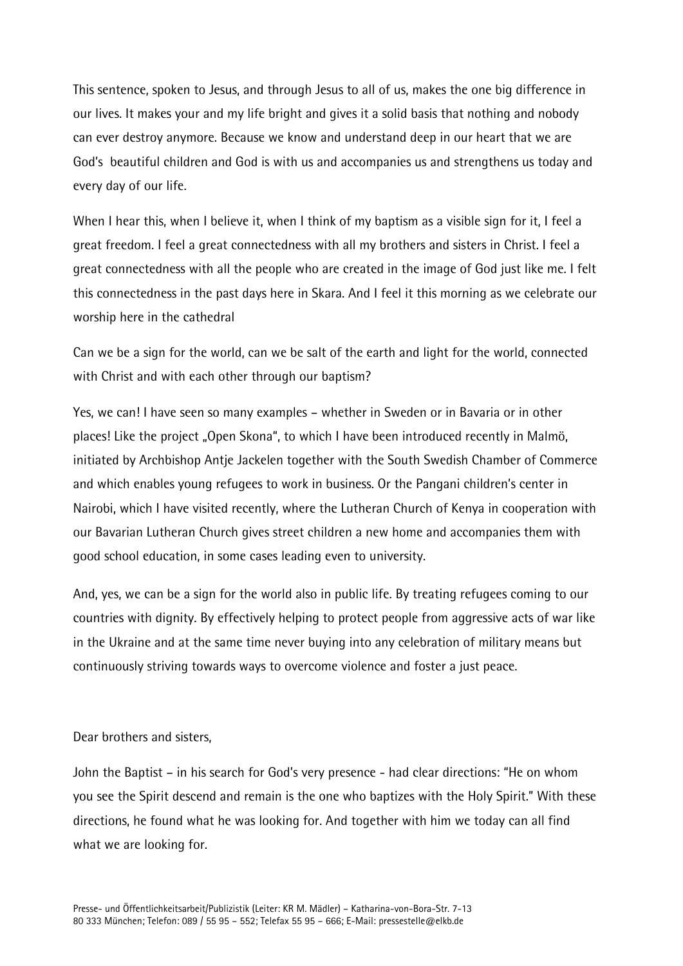This sentence, spoken to Jesus, and through Jesus to all of us, makes the one big difference in our lives. It makes your and my life bright and gives it a solid basis that nothing and nobody can ever destroy anymore. Because we know and understand deep in our heart that we are God's beautiful children and God is with us and accompanies us and strengthens us today and every day of our life.

When I hear this, when I believe it, when I think of my baptism as a visible sign for it, I feel a great freedom. I feel a great connectedness with all my brothers and sisters in Christ. I feel a great connectedness with all the people who are created in the image of God just like me. I felt this connectedness in the past days here in Skara. And I feel it this morning as we celebrate our worship here in the cathedral

Can we be a sign for the world, can we be salt of the earth and light for the world, connected with Christ and with each other through our baptism?

Yes, we can! I have seen so many examples – whether in Sweden or in Bavaria or in other places! Like the project "Open Skona", to which I have been introduced recently in Malmö, initiated by Archbishop Antje Jackelen together with the South Swedish Chamber of Commerce and which enables young refugees to work in business. Or the Pangani children's center in Nairobi, which I have visited recently, where the Lutheran Church of Kenya in cooperation with our Bavarian Lutheran Church gives street children a new home and accompanies them with good school education, in some cases leading even to university.

And, yes, we can be a sign for the world also in public life. By treating refugees coming to our countries with dignity. By effectively helping to protect people from aggressive acts of war like in the Ukraine and at the same time never buying into any celebration of military means but continuously striving towards ways to overcome violence and foster a just peace.

## Dear brothers and sisters,

John the Baptist – in his search for God's very presence - had clear directions: "He on whom you see the Spirit descend and remain is the one who baptizes with the Holy Spirit." With these directions, he found what he was looking for. And together with him we today can all find what we are looking for.